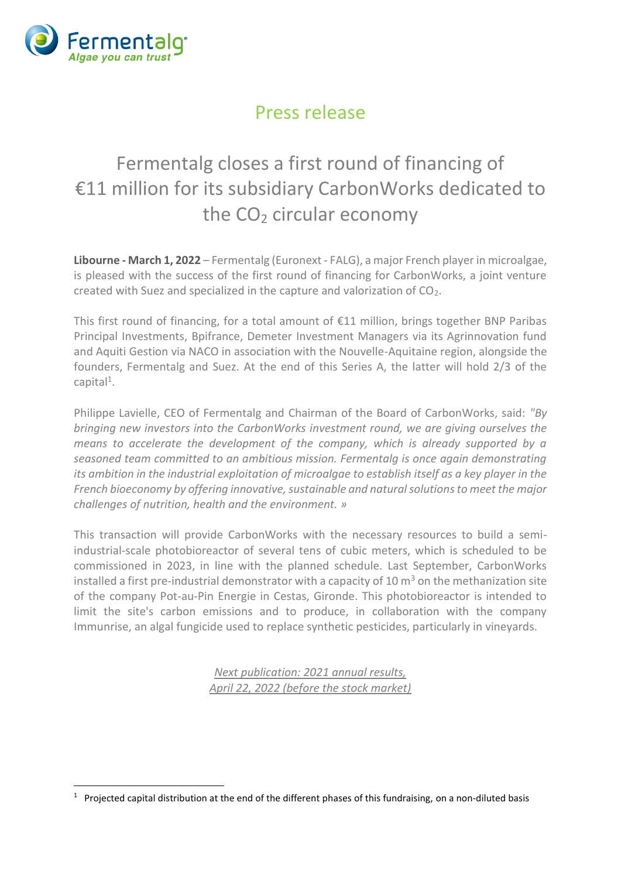

## Press release

## Fermentalg closes a first round of financing of €11 million for its subsidiary CarbonWorks dedicated to the  $CO<sub>2</sub>$  circular economy

**Libourne - March 1, 2022** – Fermentalg (Euronext - FALG), a major French player in microalgae, is pleased with the success of the first round of financing for CarbonWorks, a joint venture created with Suez and specialized in the capture and valorization of CO2.

This first round of financing, for a total amount of €11 million, brings together BNP Paribas Principal Investments, Bpifrance, Demeter Investment Managers via its Agrinnovation fund and Aquiti Gestion via NACO in association with the Nouvelle-Aquitaine region, alongside the founders, Fermentalg and Suez. At the end of this Series A, the latter will hold 2/3 of the capital<sup>1</sup>.

Philippe Lavielle, CEO of Fermentalg and Chairman of the Board of CarbonWorks, said: *"By bringing new investors into the CarbonWorks investment round, we are giving ourselves the means to accelerate the development of the company, which is already supported by a seasoned team committed to an ambitious mission. Fermentalg is once again demonstrating its ambition in the industrial exploitation of microalgae to establish itself as a key player in the French bioeconomy by offering innovative, sustainable and natural solutions to meet the major challenges of nutrition, health and the environment. »*

This transaction will provide CarbonWorks with the necessary resources to build a semiindustrial-scale photobioreactor of several tens of cubic meters, which is scheduled to be commissioned in 2023, in line with the planned schedule. Last September, CarbonWorks installed a first pre-industrial demonstrator with a capacity of 10  $m<sup>3</sup>$  on the methanization site of the company Pot-au-Pin Energie in Cestas, Gironde. This photobioreactor is intended to limit the site's carbon emissions and to produce, in collaboration with the company Immunrise, an algal fungicide used to replace synthetic pesticides, particularly in vineyards.

> *Next publication: 2021 annual results, April 22, 2022 (before the stock market)*

 $1$  Projected capital distribution at the end of the different phases of this fundraising, on a non-diluted basis